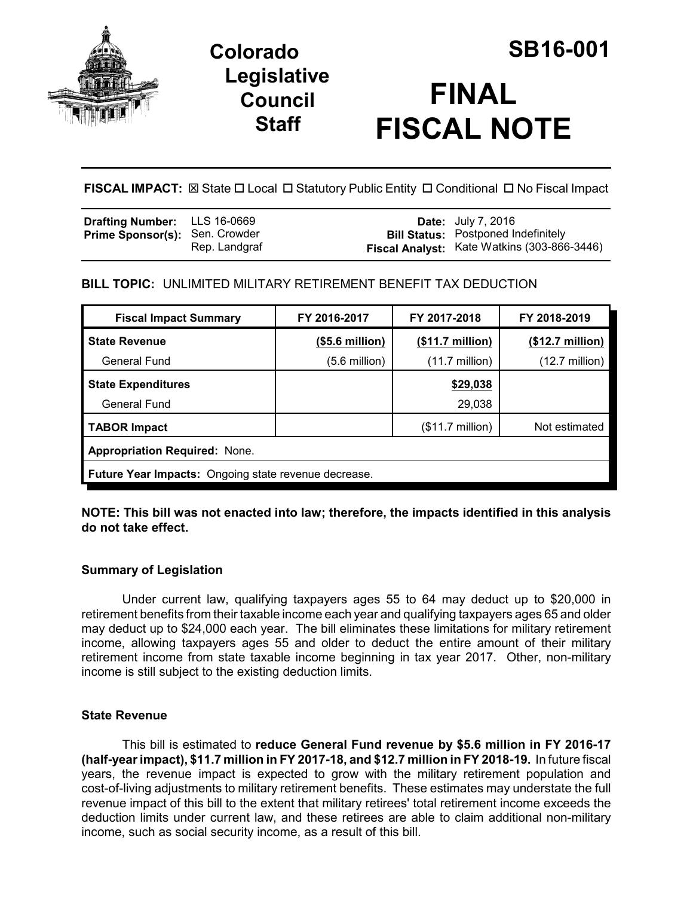

# **Legislative Council Staff**



**FISCAL IMPACT:** ⊠ State □ Local □ Statutory Public Entity □ Conditional □ No Fiscal Impact

| <b>Drafting Number:</b> LLS 16-0669   |               | <b>Date:</b> July 7, 2016                                                                 |
|---------------------------------------|---------------|-------------------------------------------------------------------------------------------|
| <b>Prime Sponsor(s): Sen. Crowder</b> | Rep. Landgraf | <b>Bill Status:</b> Postponed Indefinitely<br>Fiscal Analyst: Kate Watkins (303-866-3446) |
|                                       |               |                                                                                           |

# **BILL TOPIC:** UNLIMITED MILITARY RETIREMENT BENEFIT TAX DEDUCTION

| <b>Fiscal Impact Summary</b>                                | FY 2016-2017    | FY 2017-2018              | FY 2018-2019              |
|-------------------------------------------------------------|-----------------|---------------------------|---------------------------|
| <b>State Revenue</b>                                        | (\$5.6 million) | $($11.7 \text{ million})$ | $($12.7 \text{ million})$ |
| General Fund                                                | (5.6 million)   | $(11.7 \text{ million})$  | $(12.7 \text{ million})$  |
| <b>State Expenditures</b>                                   |                 | \$29,038                  |                           |
| General Fund                                                |                 | 29,038                    |                           |
| <b>TABOR Impact</b>                                         |                 | $($11.7 \text{ million})$ | Not estimated             |
| <b>Appropriation Required: None.</b>                        |                 |                           |                           |
| <b>Future Year Impacts:</b> Ongoing state revenue decrease. |                 |                           |                           |

**NOTE: This bill was not enacted into law; therefore, the impacts identified in this analysis do not take effect.**

### **Summary of Legislation**

Under current law, qualifying taxpayers ages 55 to 64 may deduct up to \$20,000 in retirement benefits from their taxable income each year and qualifying taxpayers ages 65 and older may deduct up to \$24,000 each year. The bill eliminates these limitations for military retirement income, allowing taxpayers ages 55 and older to deduct the entire amount of their military retirement income from state taxable income beginning in tax year 2017. Other, non-military income is still subject to the existing deduction limits.

#### **State Revenue**

This bill is estimated to **reduce General Fund revenue by \$5.6 million in FY 2016-17 (half-year impact), \$11.7 million in FY 2017-18, and \$12.7 million in FY 2018-19.** In future fiscal years, the revenue impact is expected to grow with the military retirement population and cost-of-living adjustments to military retirement benefits. These estimates may understate the full revenue impact of this bill to the extent that military retirees' total retirement income exceeds the deduction limits under current law, and these retirees are able to claim additional non-military income, such as social security income, as a result of this bill.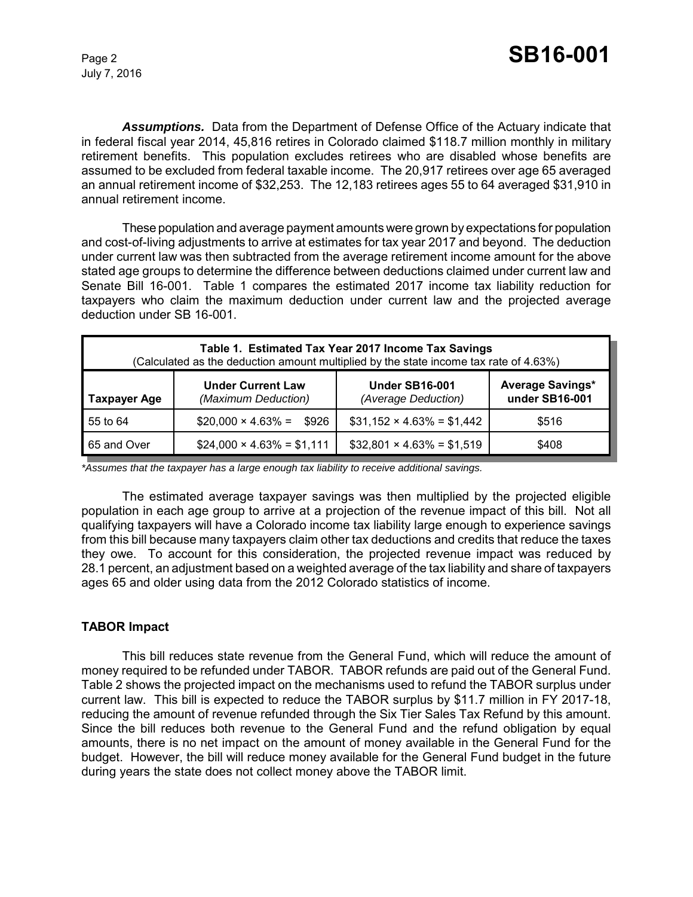July 7, 2016

*Assumptions.* Data from the Department of Defense Office of the Actuary indicate that in federal fiscal year 2014, 45,816 retires in Colorado claimed \$118.7 million monthly in military retirement benefits. This population excludes retirees who are disabled whose benefits are assumed to be excluded from federal taxable income. The 20,917 retirees over age 65 averaged an annual retirement income of \$32,253. The 12,183 retirees ages 55 to 64 averaged \$31,910 in annual retirement income.

These population and average payment amounts were grown by expectations for population and cost-of-living adjustments to arrive at estimates for tax year 2017 and beyond. The deduction under current law was then subtracted from the average retirement income amount for the above stated age groups to determine the difference between deductions claimed under current law and Senate Bill 16-001. Table 1 compares the estimated 2017 income tax liability reduction for taxpayers who claim the maximum deduction under current law and the projected average deduction under SB 16-001.

| Table 1. Estimated Tax Year 2017 Income Tax Savings<br>(Calculated as the deduction amount multiplied by the state income tax rate of 4.63%) |                                                 |                                              |                                           |
|----------------------------------------------------------------------------------------------------------------------------------------------|-------------------------------------------------|----------------------------------------------|-------------------------------------------|
| <b>Taxpayer Age</b>                                                                                                                          | <b>Under Current Law</b><br>(Maximum Deduction) | <b>Under SB16-001</b><br>(Average Deduction) | <b>Average Savings*</b><br>under SB16-001 |
| 55 to 64                                                                                                                                     | $$20,000 \times 4.63\% =$<br>\$926              | $$31,152 \times 4.63\% = $1,442$             | \$516                                     |
| 65 and Over                                                                                                                                  | $$24,000 \times 4.63\% = $1,111$                | $$32,801 \times 4.63\% = $1,519$             | \$408                                     |

*\*Assumes that the taxpayer has a large enough tax liability to receive additional savings.*

The estimated average taxpayer savings was then multiplied by the projected eligible population in each age group to arrive at a projection of the revenue impact of this bill. Not all qualifying taxpayers will have a Colorado income tax liability large enough to experience savings from this bill because many taxpayers claim other tax deductions and credits that reduce the taxes they owe. To account for this consideration, the projected revenue impact was reduced by 28.1 percent, an adjustment based on a weighted average of the tax liability and share of taxpayers ages 65 and older using data from the 2012 Colorado statistics of income.

### **TABOR Impact**

This bill reduces state revenue from the General Fund, which will reduce the amount of money required to be refunded under TABOR. TABOR refunds are paid out of the General Fund. Table 2 shows the projected impact on the mechanisms used to refund the TABOR surplus under current law. This bill is expected to reduce the TABOR surplus by \$11.7 million in FY 2017-18, reducing the amount of revenue refunded through the Six Tier Sales Tax Refund by this amount. Since the bill reduces both revenue to the General Fund and the refund obligation by equal amounts, there is no net impact on the amount of money available in the General Fund for the budget. However, the bill will reduce money available for the General Fund budget in the future during years the state does not collect money above the TABOR limit.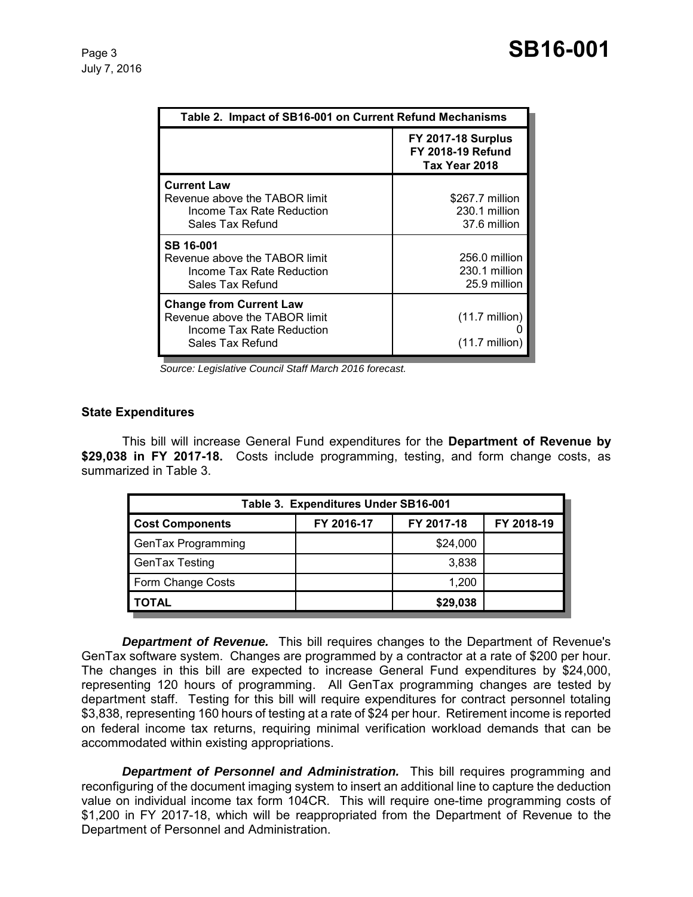| Table 2. Impact of SB16-001 on Current Refund Mechanisms                                                         |                                                                        |
|------------------------------------------------------------------------------------------------------------------|------------------------------------------------------------------------|
|                                                                                                                  | <b>FY 2017-18 Surplus</b><br><b>FY 2018-19 Refund</b><br>Tax Year 2018 |
| <b>Current Law</b><br>Revenue above the TABOR limit<br>Income Tax Rate Reduction<br>Sales Tax Refund             | \$267.7 million<br>230.1 million<br>37.6 million                       |
| SB 16-001<br>Revenue above the TABOR limit<br>Income Tax Rate Reduction<br>Sales Tax Refund                      | 256.0 million<br>230.1 million<br>25.9 million                         |
| <b>Change from Current Law</b><br>Revenue above the TABOR limit<br>Income Tax Rate Reduction<br>Sales Tax Refund | $(11.7 \text{ million})$<br>(11.7 million)                             |

 *Source: Legislative Council Staff March 2016 forecast.*

#### **State Expenditures**

This bill will increase General Fund expenditures for the **Department of Revenue by \$29,038 in FY 2017-18.** Costs include programming, testing, and form change costs, as summarized in Table 3.

| Table 3. Expenditures Under SB16-001 |            |            |            |
|--------------------------------------|------------|------------|------------|
| <b>Cost Components</b>               | FY 2016-17 | FY 2017-18 | FY 2018-19 |
| GenTax Programming                   |            | \$24,000   |            |
| GenTax Testing                       |            | 3,838      |            |
| Form Change Costs                    |            | 1,200      |            |
| <b>TOTAL</b>                         |            | \$29,038   |            |

*Department of Revenue.* This bill requires changes to the Department of Revenue's GenTax software system. Changes are programmed by a contractor at a rate of \$200 per hour. The changes in this bill are expected to increase General Fund expenditures by \$24,000, representing 120 hours of programming. All GenTax programming changes are tested by department staff. Testing for this bill will require expenditures for contract personnel totaling \$3,838, representing 160 hours of testing at a rate of \$24 per hour. Retirement income is reported on federal income tax returns, requiring minimal verification workload demands that can be accommodated within existing appropriations.

*Department of Personnel and Administration.* This bill requires programming and reconfiguring of the document imaging system to insert an additional line to capture the deduction value on individual income tax form 104CR. This will require one-time programming costs of \$1,200 in FY 2017-18, which will be reappropriated from the Department of Revenue to the Department of Personnel and Administration.